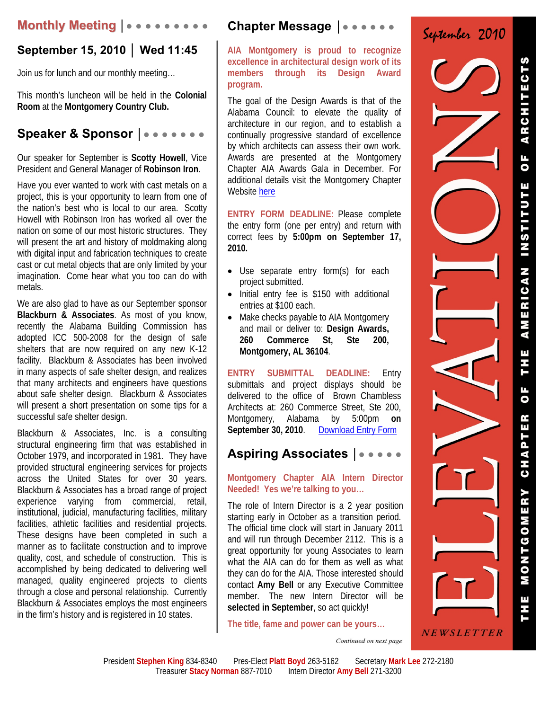## **Monthly Meeting │● ● ● ● ● ● ● ● ●**

# **September 15, 2010 │ Wed 11:45**

Join us for lunch and our monthly meeting…

This month's luncheon will be held in the **Colonial Room** at the **Montgomery Country Club.** 

## Speaker & Sponsor |●●●●●●●●

Our speaker for September is **Scotty Howell**, Vice President and General Manager of **Robinson Iron**.

Have you ever wanted to work with cast metals on a project, this is your opportunity to learn from one of the nation's best who is local to our area. Scotty Howell with Robinson Iron has worked all over the nation on some of our most historic structures. They will present the art and history of moldmaking along with digital input and fabrication techniques to create cast or cut metal objects that are only limited by your imagination. Come hear what you too can do with metals.

We are also glad to have as our September sponsor **Blackburn & Associates**. As most of you know, recently the Alabama Building Commission has adopted ICC 500-2008 for the design of safe shelters that are now required on any new K-12 facility. Blackburn & Associates has been involved in many aspects of safe shelter design, and realizes that many architects and engineers have questions about safe shelter design. Blackburn & Associates will present a short presentation on some tips for a successful safe shelter design.

Blackburn & Associates, Inc. is a consulting structural engineering firm that was established in October 1979, and incorporated in 1981. They have provided structural engineering services for projects across the United States for over 30 years. Blackburn & Associates has a broad range of project experience varying from commercial, retail, institutional, judicial, manufacturing facilities, military facilities, athletic facilities and residential projects. These designs have been completed in such a manner as to facilitate construction and to improve quality, cost, and schedule of construction. This is accomplished by being dedicated to delivering well managed, quality engineered projects to clients through a close and personal relationship. Currently Blackburn & Associates employs the most engineers in the firm's history and is registered in 10 states.

## **Chapter Message** │● ● ● ● ● ●

**AIA Montgomery is proud to recognize excellence in architectural design work of its members through its Design Award program.**

The goal of the Design Awards is that of the Alabama Council: to elevate the quality of architecture in our region, and to establish a continually progressive standard of excellence by which architects can assess their own work. Awards are presented at the Montgomery Chapter AIA Awards Gala in December. For additional details visit the Montgomery Chapter Website here

**ENTRY FORM DEADLINE:** Please complete the entry form (one per entry) and return with correct fees by **5:00pm on September 17, 2010.**

- Use separate entry form(s) for each project submitted.
- Initial entry fee is \$150 with additional entries at \$100 each.
- Make checks payable to AIA Montgomery and mail or deliver to: **Design Awards, 260 Commerce St, Ste 200, Montgomery, AL 36104**.

**ENTRY SUBMITTAL DEADLINE:** Entry submittals and project displays should be delivered to the office of Brown Chambless Architects at: 260 Commerce Street, Ste 200, Montgomery, Alabama by 5:00pm **on September 30, 2010**.Download Entry Form

## **Aspiring Associates │**● ● ● ● ●

#### **Montgomery Chapter AIA Intern Director Needed! Yes we're talking to you…**

The role of Intern Director is a 2 year position starting early in October as a transition period. The official time clock will start in January 2011 and will run through December 2112. This is a great opportunity for young Associates to learn what the AIA can do for them as well as what they can do for the AIA. Those interested should contact **Amy Bell** or any Executive Committee member. The new Intern Director will be **selected in September**, so act quickly!

**The title, fame and power can be yours…** 

Continued on next page

September 2010

NEWSLETTER

INSTITUT AMERICAN **UF** CHAPTER MONTGOMERY

ARCHITE

 $\overline{\mathbf{0}}$  F